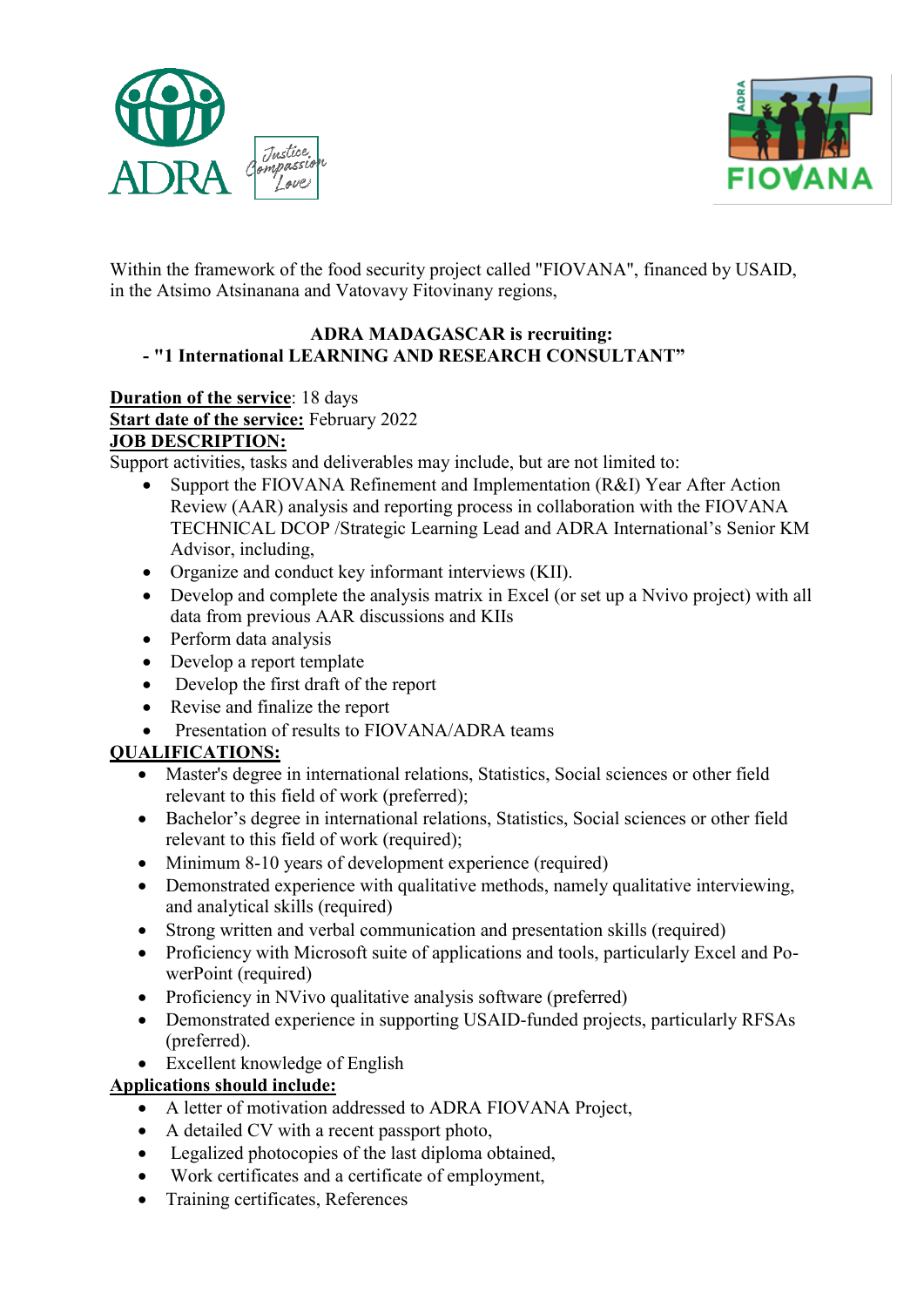



Within the framework of the food security project called "FIOVANA", financed by USAID, in the Atsimo Atsinanana and Vatovavy Fitovinany regions,

### **ADRA MADAGASCAR is recruiting: - "1 International LEARNING AND RESEARCH CONSULTANT"**

# **Duration of the service**: 18 days **Start date of the service:** February 2022 **JOB DESCRIPTION:**

Support activities, tasks and deliverables may include, but are not limited to:

- Support the FIOVANA Refinement and Implementation (R&I) Year After Action Review (AAR) analysis and reporting process in collaboration with the FIOVANA TECHNICAL DCOP /Strategic Learning Lead and ADRA International's Senior KM Advisor, including,
- Organize and conduct key informant interviews (KII).
- Develop and complete the analysis matrix in Excel (or set up a Nvivo project) with all data from previous AAR discussions and KIIs
- Perform data analysis
- Develop a report template
- Develop the first draft of the report
- Revise and finalize the report
- Presentation of results to FIOVANA/ADRA teams

# **QUALIFICATIONS:**

- Master's degree in international relations, Statistics, Social sciences or other field relevant to this field of work (preferred);
- Bachelor's degree in international relations, Statistics, Social sciences or other field relevant to this field of work (required);
- Minimum 8-10 years of development experience (required)
- Demonstrated experience with qualitative methods, namely qualitative interviewing, and analytical skills (required)
- Strong written and verbal communication and presentation skills (required)
- Proficiency with Microsoft suite of applications and tools, particularly Excel and PowerPoint (required)
- Proficiency in NVivo qualitative analysis software (preferred)
- Demonstrated experience in supporting USAID-funded projects, particularly RFSAs (preferred).
- Excellent knowledge of English

## **Applications should include:**

- A letter of motivation addressed to ADRA FIOVANA Project,
- A detailed CV with a recent passport photo,
- Legalized photocopies of the last diploma obtained,
- Work certificates and a certificate of employment,
- Training certificates, References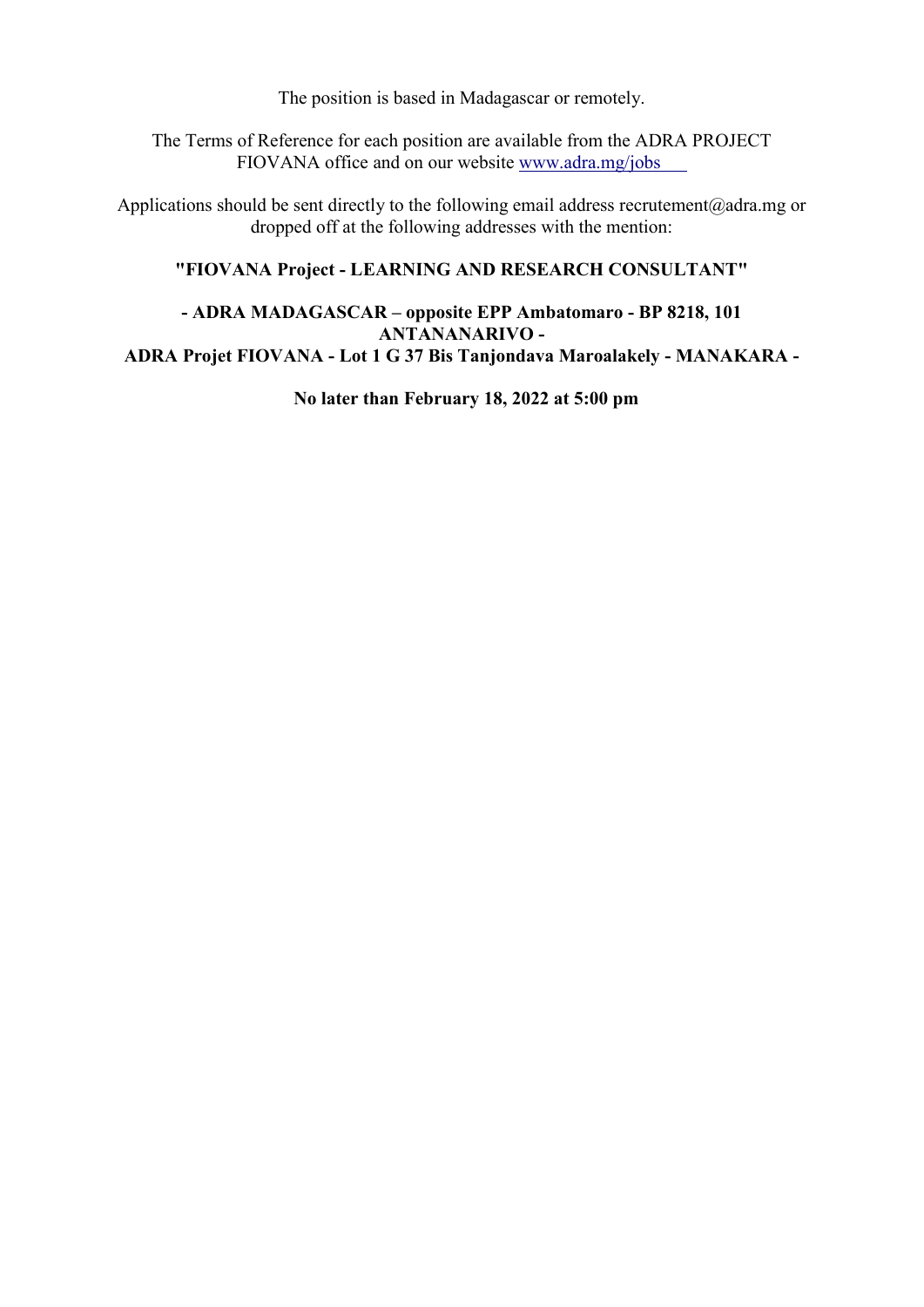The position is based in Madagascar or remotely.

The Terms of Reference for each position are available from the ADRA PROJECT FIOVANA office and on our website [www.adra.mg/jobs](http://www.adra.mg/Careers)

Applications should be sent directly to the following email address recrutement@adra.mg or dropped off at the following addresses with the mention:

### **"FIOVANA Project - LEARNING AND RESEARCH CONSULTANT"**

### **- ADRA MADAGASCAR – opposite EPP Ambatomaro - BP 8218, 101 ANTANANARIVO - ADRA Projet FIOVANA - Lot 1 G 37 Bis Tanjondava Maroalakely - MANAKARA -**

**No later than February 18, 2022 at 5:00 pm**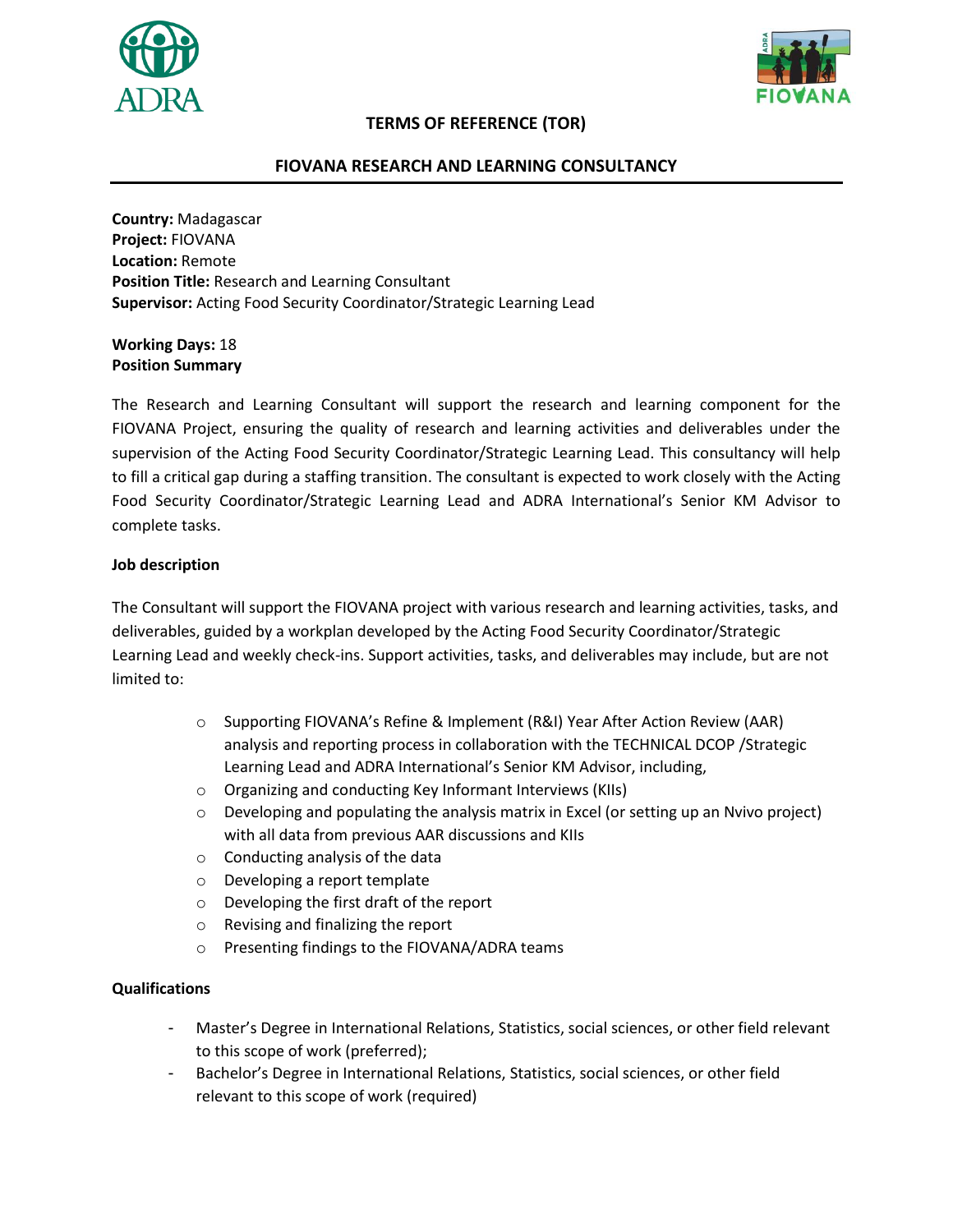



### **TERMS OF REFERENCE (TOR)**

#### **FIOVANA RESEARCH AND LEARNING CONSULTANCY**

**Country:** Madagascar **Project:** FIOVANA **Location:** Remote **Position Title:** Research and Learning Consultant **Supervisor:** Acting Food Security Coordinator/Strategic Learning Lead

**Working Days:** 18 **Position Summary**

The Research and Learning Consultant will support the research and learning component for the FIOVANA Project, ensuring the quality of research and learning activities and deliverables under the supervision of the Acting Food Security Coordinator/Strategic Learning Lead. This consultancy will help to fill a critical gap during a staffing transition. The consultant is expected to work closely with the Acting Food Security Coordinator/Strategic Learning Lead and ADRA International's Senior KM Advisor to complete tasks.

#### **Job description**

The Consultant will support the FIOVANA project with various research and learning activities, tasks, and deliverables, guided by a workplan developed by the Acting Food Security Coordinator/Strategic Learning Lead and weekly check-ins. Support activities, tasks, and deliverables may include, but are not limited to:

- o Supporting FIOVANA's Refine & Implement (R&I) Year After Action Review (AAR) analysis and reporting process in collaboration with the TECHNICAL DCOP /Strategic Learning Lead and ADRA International's Senior KM Advisor, including,
- o Organizing and conducting Key Informant Interviews (KIIs)
- $\circ$  Developing and populating the analysis matrix in Excel (or setting up an Nvivo project) with all data from previous AAR discussions and KIIs
- $\circ$  Conducting analysis of the data
- o Developing a report template
- o Developing the first draft of the report
- o Revising and finalizing the report
- o Presenting findings to the FIOVANA/ADRA teams

#### **Qualifications**

- Master's Degree in International Relations, Statistics, social sciences, or other field relevant to this scope of work (preferred);
- Bachelor's Degree in International Relations, Statistics, social sciences, or other field relevant to this scope of work (required)